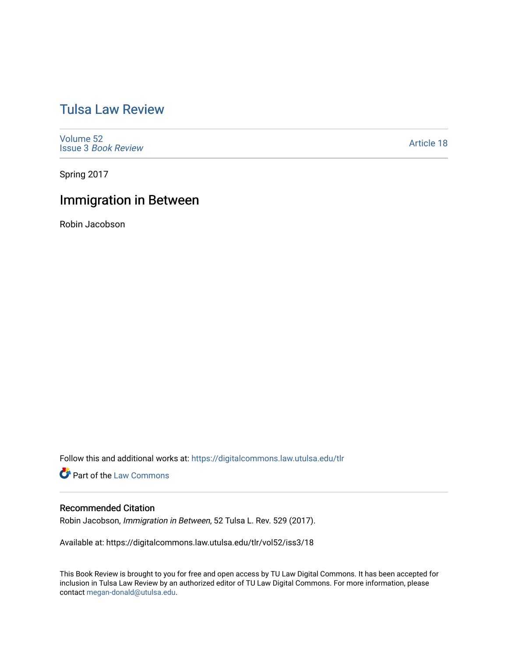# [Tulsa Law Review](https://digitalcommons.law.utulsa.edu/tlr)

[Volume 52](https://digitalcommons.law.utulsa.edu/tlr/vol52) Issue 3 [Book Review](https://digitalcommons.law.utulsa.edu/tlr/vol52/iss3)

[Article 18](https://digitalcommons.law.utulsa.edu/tlr/vol52/iss3/18) 

Spring 2017

## Immigration in Between

Robin Jacobson

Follow this and additional works at: [https://digitalcommons.law.utulsa.edu/tlr](https://digitalcommons.law.utulsa.edu/tlr?utm_source=digitalcommons.law.utulsa.edu%2Ftlr%2Fvol52%2Fiss3%2F18&utm_medium=PDF&utm_campaign=PDFCoverPages) 

**Part of the [Law Commons](http://network.bepress.com/hgg/discipline/578?utm_source=digitalcommons.law.utulsa.edu%2Ftlr%2Fvol52%2Fiss3%2F18&utm_medium=PDF&utm_campaign=PDFCoverPages)** 

### Recommended Citation

Robin Jacobson, Immigration in Between, 52 Tulsa L. Rev. 529 (2017).

Available at: https://digitalcommons.law.utulsa.edu/tlr/vol52/iss3/18

This Book Review is brought to you for free and open access by TU Law Digital Commons. It has been accepted for inclusion in Tulsa Law Review by an authorized editor of TU Law Digital Commons. For more information, please contact [megan-donald@utulsa.edu.](mailto:megan-donald@utulsa.edu)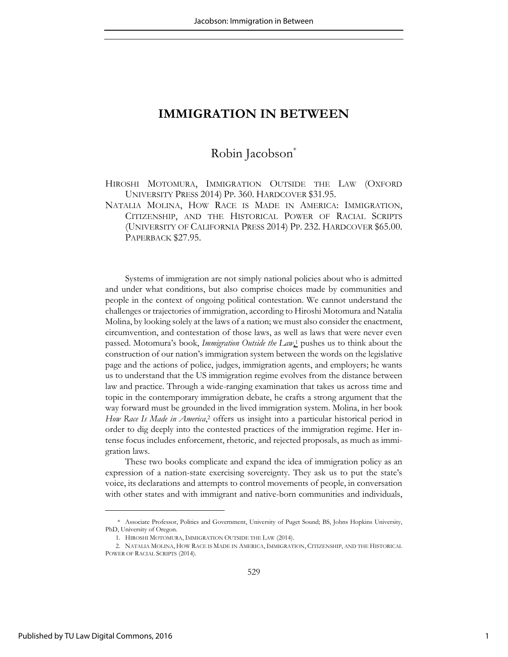### **IMMIGRATION IN BETWEEN**

### Robin Jacobson\*

HIROSHI MOTOMURA, IMMIGRATION OUTSIDE THE LAW (OXFORD UNIVERSITY PRESS 2014) PP. 360. HARDCOVER \$31.95.

NATALIA MOLINA, HOW RACE IS MADE IN AMERICA: IMMIGRATION, CITIZENSHIP, AND THE HISTORICAL POWER OF RACIAL SCRIPTS (UNIVERSITY OF CALIFORNIA PRESS 2014) PP. 232. HARDCOVER \$65.00. PAPERBACK \$27.95.

Systems of immigration are not simply national policies about who is admitted and under what conditions, but also comprise choices made by communities and people in the context of ongoing political contestation. We cannot understand the challenges or trajectories of immigration, according to Hiroshi Motomura and Natalia Molina, by looking solely at the laws of a nation; we must also consider the enactment, circumvention, and contestation of those laws, as well as laws that were never even passed. Motomura's book, *Immigration Outside the Law*<sub>1</sub> pushes us to think about the construction of our nation's immigration system between the words on the legislative page and the actions of police, judges, immigration agents, and employers; he wants us to understand that the US immigration regime evolves from the distance between law and practice. Through a wide-ranging examination that takes us across time and topic in the contemporary immigration debate, he crafts a strong argument that the way forward must be grounded in the lived immigration system. Molina, in her book How Race Is Made in America,<sup>2</sup> offers us insight into a particular historical period in order to dig deeply into the contested practices of the immigration regime. Her intense focus includes enforcement, rhetoric, and rejected proposals, as much as immigration laws.

These two books complicate and expand the idea of immigration policy as an expression of a nation-state exercising sovereignty. They ask us to put the state's voice, its declarations and attempts to control movements of people, in conversation with other states and with immigrant and native-born communities and individuals,

<sup>\*</sup> Associate Professor, Politics and Government, University of Puget Sound; BS, Johns Hopkins University, PhD, University of Oregon.

<sup>1.</sup> HIROSHI MOTOMURA, IMMIGRATION OUTSIDE THE LAW (2014).

<sup>2.</sup> NATALIA MOLINA, HOW RACE IS MADE IN AMERICA, IMMIGRATION, CITIZENSHIP, AND THE HISTORICAL POWER OF RACIAL SCRIPTS (2014).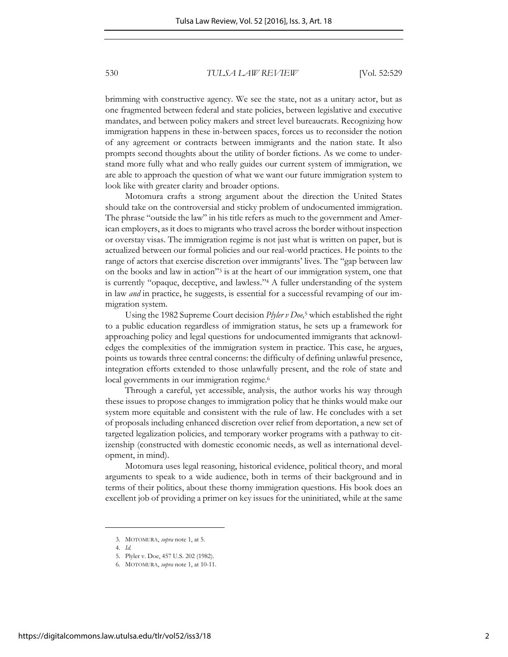brimming with constructive agency. We see the state, not as a unitary actor, but as one fragmented between federal and state policies, between legislative and executive mandates, and between policy makers and street level bureaucrats. Recognizing how immigration happens in these in-between spaces, forces us to reconsider the notion of any agreement or contracts between immigrants and the nation state. It also prompts second thoughts about the utility of border fictions. As we come to understand more fully what and who really guides our current system of immigration, we are able to approach the question of what we want our future immigration system to look like with greater clarity and broader options.

Motomura crafts a strong argument about the direction the United States should take on the controversial and sticky problem of undocumented immigration. The phrase "outside the law" in his title refers as much to the government and American employers, as it does to migrants who travel across the border without inspection or overstay visas. The immigration regime is not just what is written on paper, but is actualized between our formal policies and our real-world practices. He points to the range of actors that exercise discretion over immigrants' lives. The "gap between law on the books and law in action"<sup>3</sup> is at the heart of our immigration system, one that is currently "opaque, deceptive, and lawless." 4 A fuller understanding of the system in law *and* in practice, he suggests, is essential for a successful revamping of our immigration system.

Using the 1982 Supreme Court decision *Plyler v Doe,*<sup>5</sup> which established the right to a public education regardless of immigration status, he sets up a framework for approaching policy and legal questions for undocumented immigrants that acknowledges the complexities of the immigration system in practice. This case, he argues, points us towards three central concerns: the difficulty of defining unlawful presence, integration efforts extended to those unlawfully present, and the role of state and local governments in our immigration regime.<sup>6</sup>

Through a careful, yet accessible, analysis, the author works his way through these issues to propose changes to immigration policy that he thinks would make our system more equitable and consistent with the rule of law. He concludes with a set of proposals including enhanced discretion over relief from deportation, a new set of targeted legalization policies, and temporary worker programs with a pathway to citizenship (constructed with domestic economic needs, as well as international development, in mind).

Motomura uses legal reasoning, historical evidence, political theory, and moral arguments to speak to a wide audience, both in terms of their background and in terms of their politics, about these thorny immigration questions. His book does an excellent job of providing a primer on key issues for the uninitiated, while at the same

<sup>3.</sup> MOTOMURA, *supra* note 1, at 5.

<sup>4.</sup> *Id.*

<sup>5.</sup> Plyler v. Doe, 457 U.S. 202 (1982).

<sup>6.</sup> MOTOMURA, *supra* note 1, at 10-11.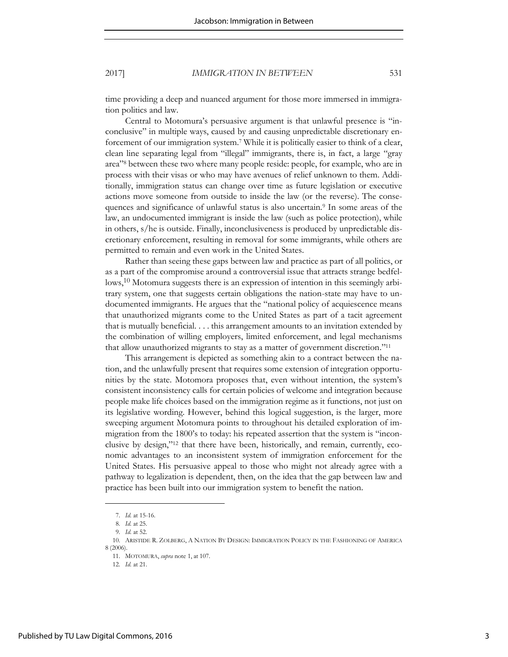### 2017] *IMMIGRATION IN BETWEEN* 531

time providing a deep and nuanced argument for those more immersed in immigration politics and law.

Central to Motomura's persuasive argument is that unlawful presence is "inconclusive" in multiple ways, caused by and causing unpredictable discretionary enforcement of our immigration system.<sup>7</sup> While it is politically easier to think of a clear, clean line separating legal from "illegal" immigrants, there is, in fact, a large "gray area" 8 between these two where many people reside: people, for example, who are in process with their visas or who may have avenues of relief unknown to them. Additionally, immigration status can change over time as future legislation or executive actions move someone from outside to inside the law (or the reverse). The consequences and significance of unlawful status is also uncertain.<sup>9</sup> In some areas of the law, an undocumented immigrant is inside the law (such as police protection), while in others, s/he is outside. Finally, inconclusiveness is produced by unpredictable discretionary enforcement, resulting in removal for some immigrants, while others are permitted to remain and even work in the United States.

Rather than seeing these gaps between law and practice as part of all politics, or as a part of the compromise around a controversial issue that attracts strange bedfellows,<sup>10</sup> Motomura suggests there is an expression of intention in this seemingly arbitrary system, one that suggests certain obligations the nation-state may have to undocumented immigrants. He argues that the "national policy of acquiescence means that unauthorized migrants come to the United States as part of a tacit agreement that is mutually beneficial. . . . this arrangement amounts to an invitation extended by the combination of willing employers, limited enforcement, and legal mechanisms that allow unauthorized migrants to stay as a matter of government discretion."<sup>11</sup>

This arrangement is depicted as something akin to a contract between the nation, and the unlawfully present that requires some extension of integration opportunities by the state. Motomora proposes that, even without intention, the system's consistent inconsistency calls for certain policies of welcome and integration because people make life choices based on the immigration regime as it functions, not just on its legislative wording. However, behind this logical suggestion, is the larger, more sweeping argument Motomura points to throughout his detailed exploration of immigration from the 1800's to today: his repeated assertion that the system is "inconclusive by design,"12 that there have been, historically, and remain, currently, economic advantages to an inconsistent system of immigration enforcement for the United States. His persuasive appeal to those who might not already agree with a pathway to legalization is dependent, then, on the idea that the gap between law and practice has been built into our immigration system to benefit the nation.

<sup>7.</sup> *Id.* at 15-16.

<sup>8.</sup> *Id.* at 25.

<sup>9.</sup> *Id.* at 52.

<sup>10.</sup> ARISTIDE R. ZOLBERG, A NATION BY DESIGN: IMMIGRATION POLICY IN THE FASHIONING OF AMERICA 8 (2006).

<sup>11.</sup> MOTOMURA, *supra* note 1, at 107.

<sup>12.</sup> *Id.* at 21.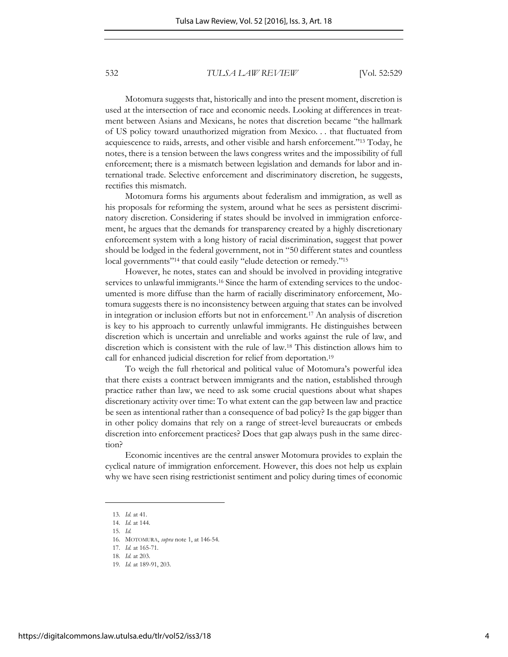Motomura suggests that, historically and into the present moment, discretion is used at the intersection of race and economic needs. Looking at differences in treatment between Asians and Mexicans, he notes that discretion became "the hallmark of US policy toward unauthorized migration from Mexico. . . that fluctuated from acquiescence to raids, arrests, and other visible and harsh enforcement." <sup>13</sup> Today, he notes, there is a tension between the laws congress writes and the impossibility of full enforcement; there is a mismatch between legislation and demands for labor and international trade. Selective enforcement and discriminatory discretion, he suggests, rectifies this mismatch.

Motomura forms his arguments about federalism and immigration, as well as his proposals for reforming the system, around what he sees as persistent discriminatory discretion. Considering if states should be involved in immigration enforcement, he argues that the demands for transparency created by a highly discretionary enforcement system with a long history of racial discrimination, suggest that power should be lodged in the federal government, not in "50 different states and countless local governments"<sup>14</sup> that could easily "elude detection or remedy."<sup>15</sup>

However, he notes, states can and should be involved in providing integrative services to unlawful immigrants.16 Since the harm of extending services to the undocumented is more diffuse than the harm of racially discriminatory enforcement, Motomura suggests there is no inconsistency between arguing that states can be involved in integration or inclusion efforts but not in enforcement.17 An analysis of discretion is key to his approach to currently unlawful immigrants. He distinguishes between discretion which is uncertain and unreliable and works against the rule of law, and discretion which is consistent with the rule of law.18 This distinction allows him to call for enhanced judicial discretion for relief from deportation.<sup>19</sup>

To weigh the full rhetorical and political value of Motomura's powerful idea that there exists a contract between immigrants and the nation, established through practice rather than law, we need to ask some crucial questions about what shapes discretionary activity over time: To what extent can the gap between law and practice be seen as intentional rather than a consequence of bad policy? Is the gap bigger than in other policy domains that rely on a range of street-level bureaucrats or embeds discretion into enforcement practices? Does that gap always push in the same direction?

Economic incentives are the central answer Motomura provides to explain the cyclical nature of immigration enforcement. However, this does not help us explain why we have seen rising restrictionist sentiment and policy during times of economic

<sup>13.</sup> *Id.* at 41.

<sup>14.</sup> *Id.* at 144.

<sup>15.</sup> *Id.*

<sup>16.</sup> MOTOMURA, *supra* note 1, at 146-54.

<sup>17.</sup> *Id.* at 165-71.

<sup>18.</sup> *Id.* at 203.

<sup>19.</sup> *Id.* at 189-91, 203.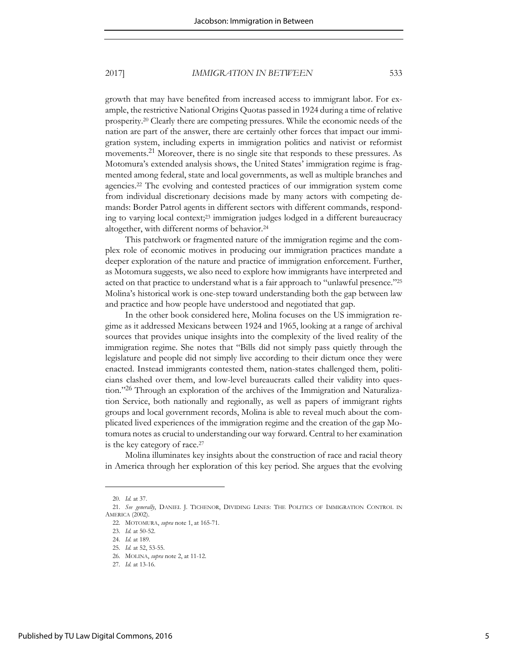### 2017] *IMMIGRATION IN BETWEEN* 533

growth that may have benefited from increased access to immigrant labor. For example, the restrictive National Origins Quotas passed in 1924 during a time of relative prosperity.20 Clearly there are competing pressures. While the economic needs of the nation are part of the answer, there are certainly other forces that impact our immigration system, including experts in immigration politics and nativist or reformist movements.21 Moreover, there is no single site that responds to these pressures. As Motomura's extended analysis shows, the United States' immigration regime is fragmented among federal, state and local governments, as well as multiple branches and agencies.22 The evolving and contested practices of our immigration system come from individual discretionary decisions made by many actors with competing demands: Border Patrol agents in different sectors with different commands, responding to varying local context;23 immigration judges lodged in a different bureaucracy altogether, with different norms of behavior.<sup>24</sup>

This patchwork or fragmented nature of the immigration regime and the complex role of economic motives in producing our immigration practices mandate a deeper exploration of the nature and practice of immigration enforcement. Further, as Motomura suggests, we also need to explore how immigrants have interpreted and acted on that practice to understand what is a fair approach to "unlawful presence."<sup>25</sup> Molina's historical work is one-step toward understanding both the gap between law and practice and how people have understood and negotiated that gap.

In the other book considered here, Molina focuses on the US immigration regime as it addressed Mexicans between 1924 and 1965, looking at a range of archival sources that provides unique insights into the complexity of the lived reality of the immigration regime. She notes that "Bills did not simply pass quietly through the legislature and people did not simply live according to their dictum once they were enacted. Instead immigrants contested them, nation-states challenged them, politicians clashed over them, and low-level bureaucrats called their validity into question."26 Through an exploration of the archives of the Immigration and Naturalization Service, both nationally and regionally, as well as papers of immigrant rights groups and local government records, Molina is able to reveal much about the complicated lived experiences of the immigration regime and the creation of the gap Motomura notes as crucial to understanding our way forward. Central to her examination is the key category of race.<sup>27</sup>

Molina illuminates key insights about the construction of race and racial theory in America through her exploration of this key period. She argues that the evolving

<sup>20.</sup> *Id.* at 37.

<sup>21.</sup> *See generally*, DANIEL J. TICHENOR, DIVIDING LINES: THE POLITICS OF IMMIGRATION CONTROL IN AMERICA (2002).

<sup>22.</sup> MOTOMURA, *supra* note 1, at 165-71.

<sup>23.</sup> *Id.* at 50-52.

<sup>24.</sup> *Id.* at 189.

<sup>25.</sup> *Id.* at 52, 53-55.

<sup>26.</sup> MOLINA, *supra* note 2, at 11-12.

<sup>27</sup>*. Id.* at 13-16.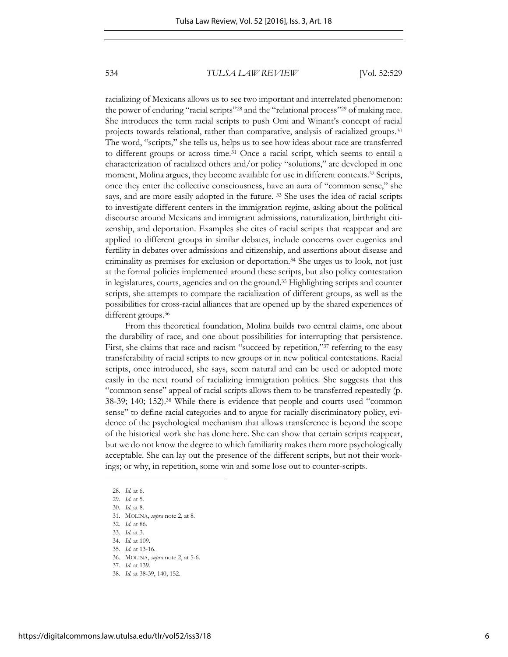racializing of Mexicans allows us to see two important and interrelated phenomenon: the power of enduring "racial scripts"<sup>28</sup> and the "relational process"29 of making race. She introduces the term racial scripts to push Omi and Winant's concept of racial projects towards relational, rather than comparative, analysis of racialized groups.<sup>30</sup> The word, "scripts," she tells us, helps us to see how ideas about race are transferred to different groups or across time.31 Once a racial script, which seems to entail a characterization of racialized others and/or policy "solutions," are developed in one moment, Molina argues, they become available for use in different contexts.32 Scripts, once they enter the collective consciousness, have an aura of "common sense," she says, and are more easily adopted in the future. 33 She uses the idea of racial scripts to investigate different centers in the immigration regime, asking about the political discourse around Mexicans and immigrant admissions, naturalization, birthright citizenship, and deportation. Examples she cites of racial scripts that reappear and are applied to different groups in similar debates, include concerns over eugenics and fertility in debates over admissions and citizenship, and assertions about disease and criminality as premises for exclusion or deportation.34 She urges us to look, not just at the formal policies implemented around these scripts, but also policy contestation in legislatures, courts, agencies and on the ground.35 Highlighting scripts and counter scripts, she attempts to compare the racialization of different groups, as well as the possibilities for cross-racial alliances that are opened up by the shared experiences of different groups.<sup>36</sup>

From this theoretical foundation, Molina builds two central claims, one about the durability of race, and one about possibilities for interrupting that persistence. First, she claims that race and racism "succeed by repetition,"<sup>37</sup> referring to the easy transferability of racial scripts to new groups or in new political contestations. Racial scripts, once introduced, she says, seem natural and can be used or adopted more easily in the next round of racializing immigration politics. She suggests that this "common sense" appeal of racial scripts allows them to be transferred repeatedly (p. 38-39; 140; 152).<sup>38</sup> While there is evidence that people and courts used "common sense" to define racial categories and to argue for racially discriminatory policy, evidence of the psychological mechanism that allows transference is beyond the scope of the historical work she has done here. She can show that certain scripts reappear, but we do not know the degree to which familiarity makes them more psychologically acceptable. She can lay out the presence of the different scripts, but not their workings; or why, in repetition, some win and some lose out to counter-scripts.

28. *Id.* at 6.

- 29. *Id.* at 5.
- 30. *Id.* at 8.

- 32*. Id.* at 86.
- 33. *Id.* at 3.
- 34. *Id.* at 109.
- 35. *Id.* at 13-16. 36. MOLINA, *supra* note 2, at 5-6.
- 37. *Id.* at 139.
- 
- 38. *Id.* at 38-39, 140, 152.

<sup>31.</sup> MOLINA, *supra* note 2, at 8.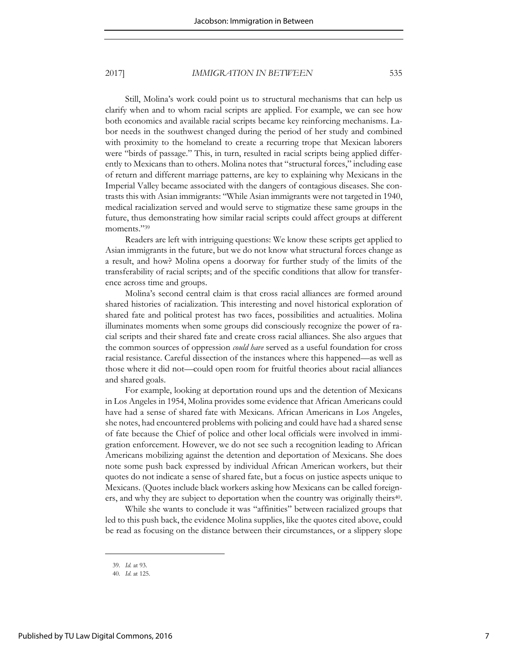### 2017] *IMMIGRATION IN BETWEEN* 535

Still, Molina's work could point us to structural mechanisms that can help us clarify when and to whom racial scripts are applied. For example, we can see how both economics and available racial scripts became key reinforcing mechanisms. Labor needs in the southwest changed during the period of her study and combined with proximity to the homeland to create a recurring trope that Mexican laborers were "birds of passage." This, in turn, resulted in racial scripts being applied differently to Mexicans than to others. Molina notes that "structural forces," including ease of return and different marriage patterns, are key to explaining why Mexicans in the Imperial Valley became associated with the dangers of contagious diseases. She contrasts this with Asian immigrants: "While Asian immigrants were not targeted in 1940, medical racialization served and would serve to stigmatize these same groups in the future, thus demonstrating how similar racial scripts could affect groups at different moments." 39

Readers are left with intriguing questions: We know these scripts get applied to Asian immigrants in the future, but we do not know what structural forces change as a result, and how? Molina opens a doorway for further study of the limits of the transferability of racial scripts; and of the specific conditions that allow for transference across time and groups.

Molina's second central claim is that cross racial alliances are formed around shared histories of racialization. This interesting and novel historical exploration of shared fate and political protest has two faces, possibilities and actualities. Molina illuminates moments when some groups did consciously recognize the power of racial scripts and their shared fate and create cross racial alliances. She also argues that the common sources of oppression *could have* served as a useful foundation for cross racial resistance. Careful dissection of the instances where this happened—as well as those where it did not—could open room for fruitful theories about racial alliances and shared goals.

For example, looking at deportation round ups and the detention of Mexicans in Los Angeles in 1954, Molina provides some evidence that African Americans could have had a sense of shared fate with Mexicans. African Americans in Los Angeles, she notes, had encountered problems with policing and could have had a shared sense of fate because the Chief of police and other local officials were involved in immigration enforcement. However, we do not see such a recognition leading to African Americans mobilizing against the detention and deportation of Mexicans. She does note some push back expressed by individual African American workers, but their quotes do not indicate a sense of shared fate, but a focus on justice aspects unique to Mexicans. (Quotes include black workers asking how Mexicans can be called foreigners, and why they are subject to deportation when the country was originally theirs<sup>40</sup>.

While she wants to conclude it was "affinities" between racialized groups that led to this push back, the evidence Molina supplies, like the quotes cited above, could be read as focusing on the distance between their circumstances, or a slippery slope

<sup>39.</sup> *Id.* at 93.

<sup>40.</sup> *Id*. at 125.